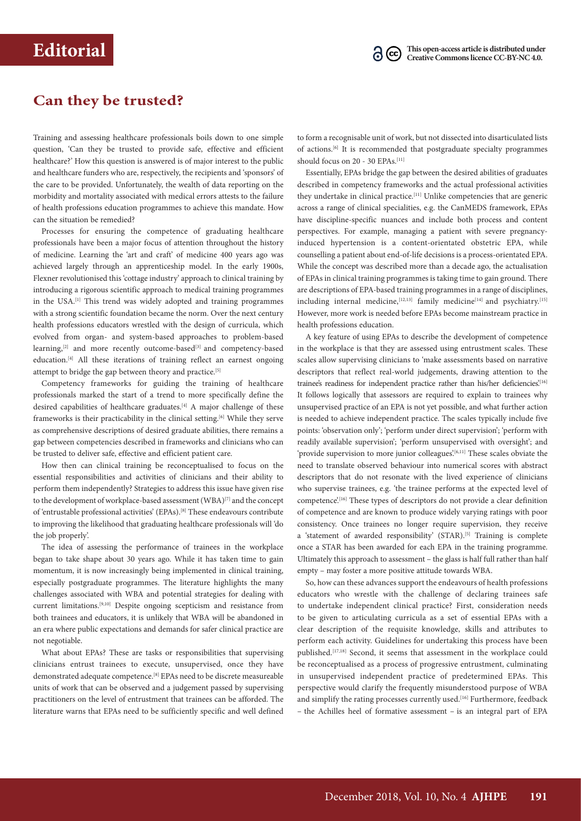## **Can they be trusted?**

Training and assessing healthcare professionals boils down to one simple question, 'Can they be trusted to provide safe, effective and efficient healthcare?' How this question is answered is of major interest to the public and healthcare funders who are, respectively, the recipients and 'sponsors' of the care to be provided. Unfortunately, the wealth of data reporting on the morbidity and mortality associated with medical errors attests to the failure of health professions education programmes to achieve this mandate. How can the situation be remedied?

Processes for ensuring the competence of graduating healthcare professionals have been a major focus of attention throughout the history of medicine. Learning the 'art and craft' of medicine 400 years ago was achieved largely through an apprenticeship model. In the early 1900s, Flexner revolutionised this 'cottage industry' approach to clinical training by introducing a rigorous scientific approach to medical training programmes in the USA.[1] This trend was widely adopted and training programmes with a strong scientific foundation became the norm. Over the next century health professions educators wrestled with the design of curricula, which evolved from organ- and system-based approaches to problem-based learning,<sup>[2]</sup> and more recently outcome-based<sup>[3]</sup> and competency-based education.<sup>[4]</sup> All these iterations of training reflect an earnest ongoing attempt to bridge the gap between theory and practice.<sup>[5]</sup>

Competency frameworks for guiding the training of healthcare professionals marked the start of a trend to more specifically define the desired capabilities of healthcare graduates.<sup>[4]</sup> A major challenge of these frameworks is their practicability in the clinical setting.<sup>[6]</sup> While they serve as comprehensive descriptions of desired graduate abilities, there remains a gap between competencies described in frameworks and clinicians who can be trusted to deliver safe, effective and efficient patient care.

How then can clinical training be reconceptualised to focus on the essential responsibilities and activities of clinicians and their ability to perform them independently? Strategies to address this issue have given rise to the development of workplace-based assessment (WBA)<sup>[7]</sup> and the concept of 'entrustable professional activities' (EPAs).[8] These endeavours contribute to improving the likelihood that graduating healthcare professionals will 'do the job properly'.

The idea of assessing the performance of trainees in the workplace began to take shape about 30 years ago. While it has taken time to gain momentum, it is now increasingly being implemented in clinical training, especially postgraduate programmes. The literature highlights the many challenges associated with WBA and potential strategies for dealing with current limitations.[9,10] Despite ongoing scepticism and resistance from both trainees and educators, it is unlikely that WBA will be abandoned in an era where public expectations and demands for safer clinical practice are not negotiable.

What about EPAs? These are tasks or responsibilities that supervising clinicians entrust trainees to execute, unsupervised, once they have demonstrated adequate competence.[8] EPAs need to be discrete measureable units of work that can be observed and a judgement passed by supervising practitioners on the level of entrustment that trainees can be afforded. The literature warns that EPAs need to be sufficiently specific and well defined

to form a recognisable unit of work, but not dissected into disarticulated lists of actions.[6] It is recommended that postgraduate specialty programmes should focus on 20 - 30 EPAs.<sup>[11]</sup>

Essentially, EPAs bridge the gap between the desired abilities of graduates described in competency frameworks and the actual professional activities they undertake in clinical practice.<sup>[11]</sup> Unlike competencies that are generic across a range of clinical specialities, e.g. the CanMEDS framework, EPAs have discipline-specific nuances and include both process and content perspectives. For example, managing a patient with severe pregnancyinduced hypertension is a content-orientated obstetric EPA, while counselling a patient about end-of-life decisions is a process-orientated EPA. While the concept was described more than a decade ago, the actualisation of EPAs in clinical training programmes is taking time to gain ground. There are descriptions of EPA-based training programmes in a range of disciplines, including internal medicine,  $[12,13]$  family medicine $[14]$  and psychiatry.<sup>[15]</sup> However, more work is needed before EPAs become mainstream practice in health professions education.

A key feature of using EPAs to describe the development of competence in the workplace is that they are assessed using entrustment scales. These scales allow supervising clinicians to 'make assessments based on narrative descriptors that reflect real-world judgements, drawing attention to the trainee's readiness for independent practice rather than his/her deficiencies.<sup>[16]</sup> It follows logically that assessors are required to explain to trainees why unsupervised practice of an EPA is not yet possible, and what further action is needed to achieve independent practice. The scales typically include five points: 'observation only'; 'perform under direct supervision'; 'perform with readily available supervision'; 'perform unsupervised with oversight'; and 'provide supervision to more junior colleagues'.<sup>[6,11]</sup> These scales obviate the need to translate observed behaviour into numerical scores with abstract descriptors that do not resonate with the lived experience of clinicians who supervise trainees, e.g. 'the trainee performs at the expected level of competence'.[16] These types of descriptors do not provide a clear definition of competence and are known to produce widely varying ratings with poor consistency. Once trainees no longer require supervision, they receive a 'statement of awarded responsibility' (STAR).<sup>[5]</sup> Training is complete once a STAR has been awarded for each EPA in the training programme. Ultimately this approach to assessment – the glass is half full rather than half empty – may foster a more positive attitude towards WBA.

So, how can these advances support the endeavours of health professions educators who wrestle with the challenge of declaring trainees safe to undertake independent clinical practice? First, consideration needs to be given to articulating curricula as a set of essential EPAs with a clear description of the requisite knowledge, skills and attributes to perform each activity. Guidelines for undertaking this process have been published.<sup>[17,18]</sup> Second, it seems that assessment in the workplace could be reconceptualised as a process of progressive entrustment, culminating in unsupervised independent practice of predetermined EPAs. This perspective would clarify the frequently misunderstood purpose of WBA and simplify the rating processes currently used.<sup>[16]</sup> Furthermore, feedback – the Achilles heel of formative assessment – is an integral part of EPA